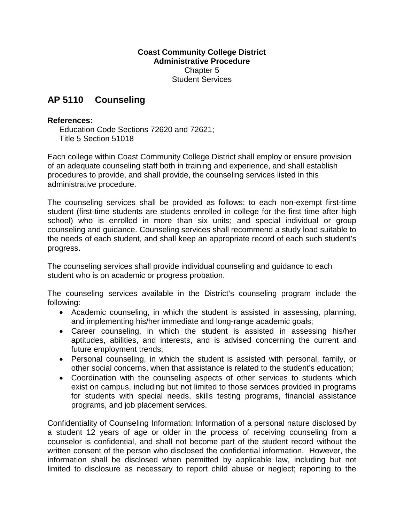## **Coast Community College District Administrative Procedure** Chapter 5 Student Services

## **AP 5110 Counseling**

## **References:**

Education Code Sections 72620 and 72621; Title 5 Section 51018

Each college within Coast Community College District shall employ or ensure provision of an adequate counseling staff both in training and experience, and shall establish procedures to provide, and shall provide, the counseling services listed in this administrative procedure.

The counseling services shall be provided as follows: to each non-exempt first-time student (first-time students are students enrolled in college for the first time after high school) who is enrolled in more than six units; and special individual or group counseling and guidance. Counseling services shall recommend a study load suitable to the needs of each student, and shall keep an appropriate record of each such student's progress.

The counseling services shall provide individual counseling and guidance to each student who is on academic or progress probation.

The counseling services available in the District's counseling program include the following:

- Academic counseling, in which the student is assisted in assessing, planning, and implementing his/her immediate and long-range academic goals;
- Career counseling, in which the student is assisted in assessing his/her aptitudes, abilities, and interests, and is advised concerning the current and future employment trends;
- Personal counseling, in which the student is assisted with personal, family, or other social concerns, when that assistance is related to the student's education;
- Coordination with the counseling aspects of other services to students which exist on campus, including but not limited to those services provided in programs for students with special needs, skills testing programs, financial assistance programs, and job placement services.

Confidentiality of Counseling Information: Information of a personal nature disclosed by a student 12 years of age or older in the process of receiving counseling from a counselor is confidential, and shall not become part of the student record without the written consent of the person who disclosed the confidential information. However, the information shall be disclosed when permitted by applicable law, including but not limited to disclosure as necessary to report child abuse or neglect; reporting to the